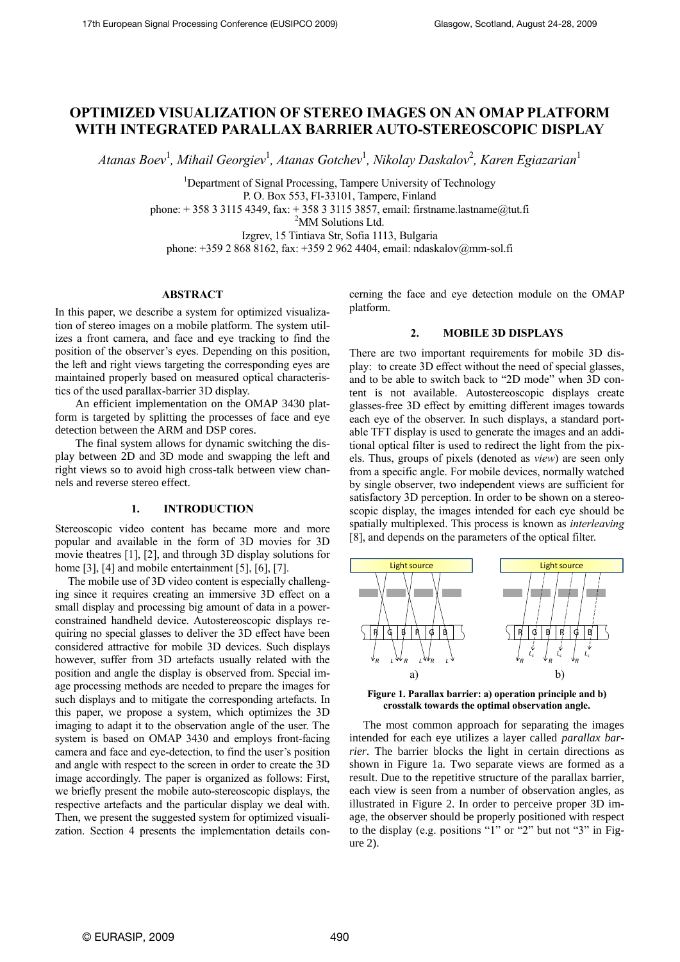# **OPTIMIZED VISUALIZATION OF STEREO IMAGES ON AN OMAP PLATFORM WITH INTEGRATED PARALLAX BARRIER AUTO-STEREOSCOPIC DISPLAY**

*Atanas Boev*<sup>1</sup> *, Mihail Georgiev*<sup>1</sup> *, Atanas Gotchev*<sup>1</sup> *, Nikolay Daskalov*<sup>2</sup> *, Karen Egiazarian*<sup>1</sup>

<sup>1</sup>Department of Signal Processing, Tampere University of Technology P. O. Box 553, FI-33101, Tampere, Finland phone:  $+ 358331154349$ , fax:  $+ 358331153857$ , email: firstname.lastname@tut.fi <sup>2</sup>MM Solutions Ltd.

Izgrev, 15 Tintiava Str, Sofia 1113, Bulgaria

phone: +359 2 868 8162, fax: +359 2 962 4404, email: ndaskalov@mm-sol.fi

# **ABSTRACT**

In this paper, we describe a system for optimized visualization of stereo images on a mobile platform. The system utilizes a front camera, and face and eye tracking to find the position of the observer"s eyes. Depending on this position, the left and right views targeting the corresponding eyes are maintained properly based on measured optical characteristics of the used parallax-barrier 3D display.

An efficient implementation on the OMAP 3430 platform is targeted by splitting the processes of face and eye detection between the ARM and DSP cores.

The final system allows for dynamic switching the display between 2D and 3D mode and swapping the left and right views so to avoid high cross-talk between view channels and reverse stereo effect.

# **1. INTRODUCTION**

Stereoscopic video content has became more and more popular and available in the form of 3D movies for 3D movie theatres [\[1\],](#page-4-0) [\[2\],](#page-4-1) and through 3D display solutions for hom[e \[3\],](#page-4-2) [\[4\]](#page-4-3) and mobile entertainment [\[5\],](#page-4-4) [\[6\],](#page-4-5) [\[7\].](#page-4-6)

The mobile use of 3D video content is especially challenging since it requires creating an immersive 3D effect on a small display and processing big amount of data in a powerconstrained handheld device. Autostereoscopic displays requiring no special glasses to deliver the 3D effect have been considered attractive for mobile 3D devices. Such displays however, suffer from 3D artefacts usually related with the position and angle the display is observed from. Special image processing methods are needed to prepare the images for such displays and to mitigate the corresponding artefacts. In this paper, we propose a system, which optimizes the 3D imaging to adapt it to the observation angle of the user. The system is based on OMAP 3430 and employs front-facing camera and face and eye-detection, to find the user"s position and angle with respect to the screen in order to create the 3D image accordingly. The paper is organized as follows: First, we briefly present the mobile auto-stereoscopic displays, the respective artefacts and the particular display we deal with. Then, we present the suggested system for optimized visualization. Section 4 presents the implementation details concerning the face and eye detection module on the OMAP platform.

## **2. MOBILE 3D DISPLAYS**

There are two important requirements for mobile 3D display: to create 3D effect without the need of special glasses, and to be able to switch back to "2D mode" when 3D content is not available. Autostereoscopic displays create glasses-free 3D effect by emitting different images towards each eye of the observer. In such displays, a standard portable TFT display is used to generate the images and an additional optical filter is used to redirect the light from the pixels. Thus, groups of pixels (denoted as *view*) are seen only from a specific angle. For mobile devices, normally watched by single observer, two independent views are sufficient for satisfactory 3D perception. In order to be shown on a stereoscopic display, the images intended for each eye should be spatially multiplexed. This process is known as *interleaving* [\[8\],](#page-4-7) and depends on the parameters of the optical filter.



<span id="page-0-0"></span>**Figure 1. Parallax barrier: a) operation principle and b) crosstalk towards the optimal observation angle.**

The most common approach for separating the images intended for each eye utilizes a layer called *parallax barrier*. The barrier blocks the light in certain directions as shown in [Figure 1a](#page-0-0). Two separate views are formed as a result. Due to the repetitive structure of the parallax barrier, each view is seen from a number of observation angles, as illustrated in [Figure 2.](#page-1-0) In order to perceive proper 3D image, the observer should be properly positioned with respect to the display (e.g. positions "1" or "2" but not "3" in [Fig](#page-1-0)[ure 2\)](#page-1-0).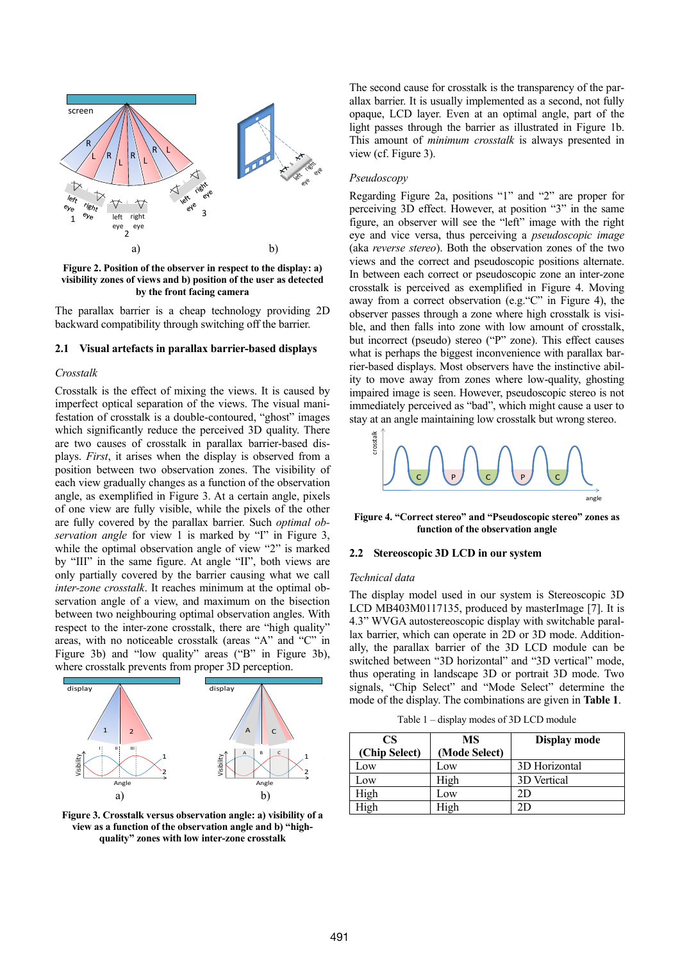

<span id="page-1-0"></span>**Figure 2. Position of the observer in respect to the display: a) visibility zones of views and b) position of the user as detected by the front facing camera**

The parallax barrier is a cheap technology providing 2D backward compatibility through switching off the barrier.

#### **2.1 Visual artefacts in parallax barrier-based displays**

#### *Crosstalk*

Crosstalk is the effect of mixing the views. It is caused by imperfect optical separation of the views. The visual manifestation of crosstalk is a double-contoured, "ghost" images which significantly reduce the perceived 3D quality. There are two causes of crosstalk in parallax barrier-based displays. *First*, it arises when the display is observed from a position between two observation zones. The visibility of each view gradually changes as a function of the observation angle, as exemplified in [Figure 3.](#page-1-1) At a certain angle, pixels of one view are fully visible, while the pixels of the other are fully covered by the parallax barrier. Such *optimal observation angle* for view 1 is marked by "I" in [Figure 3,](#page-1-1)  while the optimal observation angle of view "2" is marked by "III" in the same figure. At angle "II", both views are only partially covered by the barrier causing what we call *inter-zone crosstalk*. It reaches minimum at the optimal observation angle of a view, and maximum on the bisection between two neighbouring optimal observation angles. With respect to the inter-zone crosstalk, there are "high quality" areas, with no noticeable crosstalk (areas "A" and "C" in [Figure 3](#page-1-1)b) and "low quality" areas ("B" in [Figure 3b](#page-1-1)), where crosstalk prevents from proper 3D perception.



<span id="page-1-1"></span>**Figure 3. Crosstalk versus observation angle: a) visibility of a view as a function of the observation angle and b) "highquality" zones with low inter-zone crosstalk**

The second cause for crosstalk is the transparency of the parallax barrier. It is usually implemented as a second, not fully opaque, LCD layer. Even at an optimal angle, part of the light passes through the barrier as illustrated in [Figure 1b](#page-0-0). This amount of *minimum crosstalk* is always presented in view (cf. [Figure 3\)](#page-1-1).

#### *Pseudoscopy*

Regarding [Figure 2a](#page-1-0), positions "1" and "2" are proper for perceiving 3D effect. However, at position "3" in the same figure, an observer will see the "left" image with the right eye and vice versa, thus perceiving a *pseudoscopic image* (aka *reverse stereo*). Both the observation zones of the two views and the correct and pseudoscopic positions alternate. In between each correct or pseudoscopic zone an inter-zone crosstalk is perceived as exemplified in [Figure 4.](#page-1-2) Moving away from a correct observation (e.g."C" in [Figure 4\)](#page-1-2), the observer passes through a zone where high crosstalk is visible, and then falls into zone with low amount of crosstalk, but incorrect (pseudo) stereo ("P" zone). This effect causes what is perhaps the biggest inconvenience with parallax barrier-based displays. Most observers have the instinctive ability to move away from zones where low-quality, ghosting impaired image is seen. However, pseudoscopic stereo is not immediately perceived as "bad", which might cause a user to stay at an angle maintaining low crosstalk but wrong stereo.



<span id="page-1-2"></span>**Figure 4. "Correct stereo" and "Pseudoscopic stereo" zones as function of the observation angle**

#### **2.2 Stereoscopic 3D LCD in our system**

#### *Technical data*

The display model used in our system is Stereoscopic 3D LCD MB403M0117135, produced by masterImage [\[7\].](#page-4-6) It is 4.3" WVGA autostereoscopic display with switchable parallax barrier, which can operate in 2D or 3D mode. Additionally, the parallax barrier of the 3D LCD module can be switched between "3D horizontal" and "3D vertical" mode, thus operating in landscape 3D or portrait 3D mode. Two signals, "Chip Select" and "Mode Select" determine the mode of the display. The combinations are given in **[Table 1](#page-1-3)**.

Table 1 – display modes of 3D LCD module

<span id="page-1-3"></span>

| CS<br>(Chip Select) | MS<br>(Mode Select) | Display mode  |
|---------------------|---------------------|---------------|
| Low                 | Low                 | 3D Horizontal |
| Low                 | High                | 3D Vertical   |
| High                | Low                 | 2D            |
| Iigh                | High                | חי            |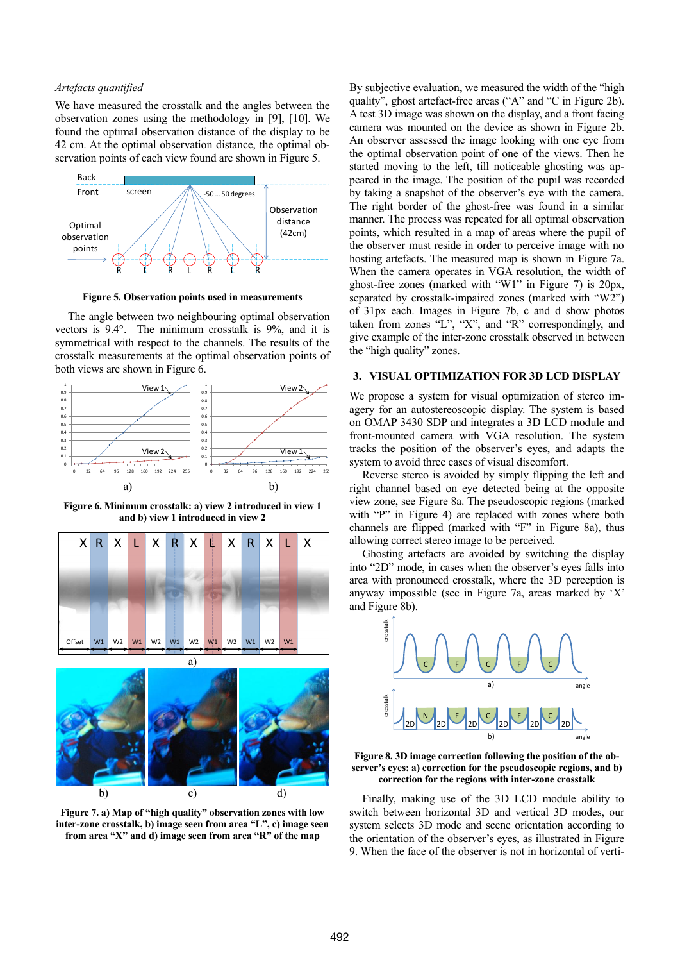# *Artefacts quantified*

We have measured the crosstalk and the angles between the observation zones using the methodology in [\[9\],](#page-4-8) [\[10\].](#page-4-9) We found the optimal observation distance of the display to be 42 cm. At the optimal observation distance, the optimal observation points of each view found are shown in [Figure 5.](#page-2-0)



**Figure 5. Observation points used in measurements**

<span id="page-2-0"></span>The angle between two neighbouring optimal observation vectors is 9.4°. The minimum crosstalk is 9%, and it is symmetrical with respect to the channels. The results of the crosstalk measurements at the optimal observation points of both views are shown i[n Figure 6.](#page-2-1)



<span id="page-2-1"></span>**Figure 6. Minimum crosstalk: a) view 2 introduced in view 1 and b) view 1 introduced in view 2**



<span id="page-2-2"></span>**Figure 7. a) Map of "high quality" observation zones with low inter-zone crosstalk, b) image seen from area "L", c) image seen from area "X" and d) image seen from area "R" of the map**

By subjective evaluation, we measured the width of the "high quality", ghost artefact-free areas ("A" and "C in [Figure 2b](#page-1-0)). A test 3D image was shown on the display, and a front facing camera was mounted on the device as shown in [Figure 2b](#page-1-0). An observer assessed the image looking with one eye from the optimal observation point of one of the views. Then he started moving to the left, till noticeable ghosting was appeared in the image. The position of the pupil was recorded by taking a snapshot of the observer"s eye with the camera. The right border of the ghost-free was found in a similar manner. The process was repeated for all optimal observation points, which resulted in a map of areas where the pupil of the observer must reside in order to perceive image with no hosting artefacts. The measured map is shown in [Figure 7a](#page-2-2). When the camera operates in VGA resolution, the width of ghost-free zones (marked with "W1" in [Figure 7\)](#page-2-2) is 20px, separated by crosstalk-impaired zones (marked with "W2") of 31px each. Images in [Figure 7b](#page-2-2), c and d show photos taken from zones "L", "X", and "R" correspondingly, and give example of the inter-zone crosstalk observed in between the "high quality" zones.

# **3. VISUAL OPTIMIZATION FOR 3D LCD DISPLAY**

on OMAP 3430 SDP and integrates a 3D LCD module and front-mounted camera with VGA resolution. The system We propose a system for visual optimization of stereo imagery for an autostereoscopic display. The system is based tracks the position of the observer"s eyes, and adapts the system to avoid three cases of visual discomfort.

Reverse stereo is avoided by simply flipping the left and right channel based on eye detected being at the opposite view zone, see [Figure 8a](#page-2-3). The pseudoscopic regions (marked with "P" in [Figure 4\)](#page-1-2) are replaced with zones where both channels are flipped (marked with "F" in [Figure 8a](#page-2-3)), thus allowing correct stereo image to be perceived.

Ghosting artefacts are avoided by switching the display into "2D" mode, in cases when the observer's eyes falls into area with pronounced crosstalk, where the 3D perception is anyway impossible (see in [Figure 7](#page-2-2)a, areas marked by "X" an[d Figure 8b](#page-2-3)).



<span id="page-2-3"></span>**Figure 8. 3D image correction following the position of the observer's eyes: a) correction for the pseudoscopic regions, and b) correction for the regions with inter-zone crosstalk**

Finally, making use of the 3D LCD module ability to switch between horizontal 3D and vertical 3D modes, our system selects 3D mode and scene orientation according to the orientation of the observer"s eyes, as illustrated in [Figure](#page-3-0)  [9.](#page-3-0) When the face of the observer is not in horizontal of verti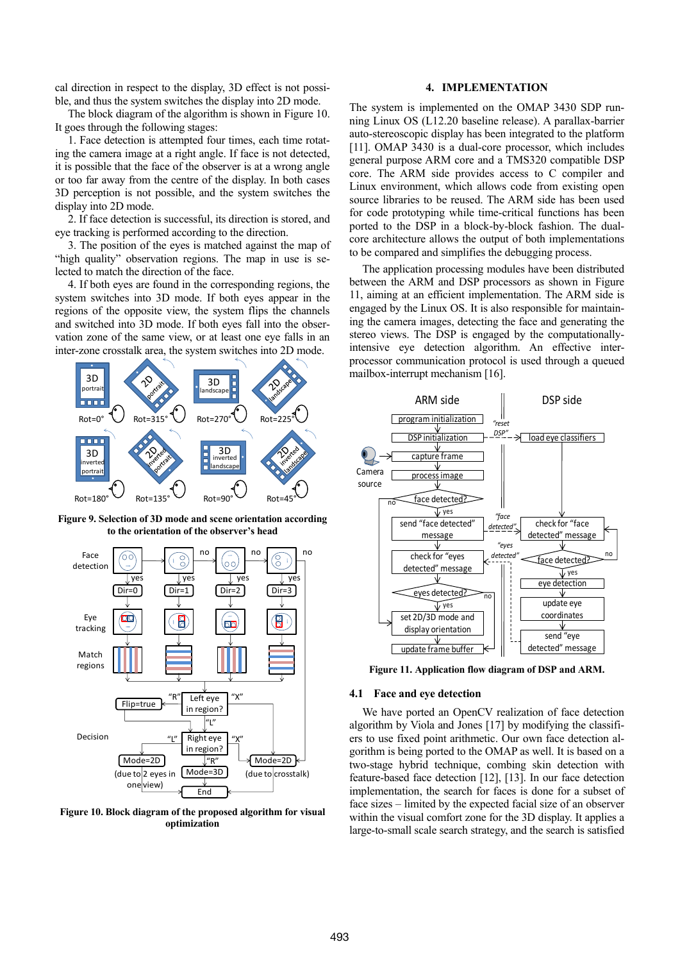cal direction in respect to the display, 3D effect is not possible, and thus the system switches the display into 2D mode.

The block diagram of the algorithm is shown in [Figure 10.](#page-3-1)  It goes through the following stages:

1. Face detection is attempted four times, each time rotating the camera image at a right angle. If face is not detected, it is possible that the face of the observer is at a wrong angle or too far away from the centre of the display. In both cases 3D perception is not possible, and the system switches the display into 2D mode.

2. If face detection is successful, its direction is stored, and eye tracking is performed according to the direction.

3. The position of the eyes is matched against the map of "high quality" observation regions. The map in use is selected to match the direction of the face.

4. If both eyes are found in the corresponding regions, the system switches into 3D mode. If both eyes appear in the regions of the opposite view, the system flips the channels and switched into 3D mode. If both eyes fall into the observation zone of the same view, or at least one eye falls in an inter-zone crosstalk area, the system switches into 2D mode.



<span id="page-3-0"></span>**Figure 9. Selection of 3D mode and scene orientation according to the orientation of the observer's head**



<span id="page-3-1"></span>**Figure 10. Block diagram of the proposed algorithm for visual optimization**

# **4. IMPLEMENTATION**

The system is implemented on the OMAP 3430 SDP running Linux OS (L12.20 baseline release). A parallax-barrier auto-stereoscopic display has been integrated to the platform [\[11\].](#page-4-10) OMAP 3430 is a dual-core processor, which includes general purpose ARM core and a TMS320 compatible DSP core. The ARM side provides access to C compiler and Linux environment, which allows code from existing open source libraries to be reused. The ARM side has been used for code prototyping while time-critical functions has been ported to the DSP in a block-by-block fashion. The dualcore architecture allows the output of both implementations to be compared and simplifies the debugging process.

The application processing modules have been distributed between the ARM and DSP processors as shown in Figure 11, aiming at an efficient implementation. The ARM side is engaged by the Linux OS. It is also responsible for maintaining the camera images, detecting the face and generating the stereo views. The DSP is engaged by the computationallyintensive eye detection algorithm. An effective interprocessor communication protocol is used through a queued mailbox-interrupt mechanism [\[16\].](#page-4-11) 



**Figure 11. Application flow diagram of DSP and ARM.**

#### **4.1 Face and eye detection**

We have ported an OpenCV realization of face detection algorithm by Viola and Jones [\[17\]](#page-4-12) by modifying the classifiers to use fixed point arithmetic. Our own face detection algorithm is being ported to the OMAP as well. It is based on a two-stage hybrid technique, combing skin detection with feature-based face detection [\[12\],](#page-4-13) [\[13\].](#page-4-14) In our face detection implementation, the search for faces is done for a subset of face sizes – limited by the expected facial size of an observer within the visual comfort zone for the 3D display. It applies a large-to-small scale search strategy, and the search is satisfied